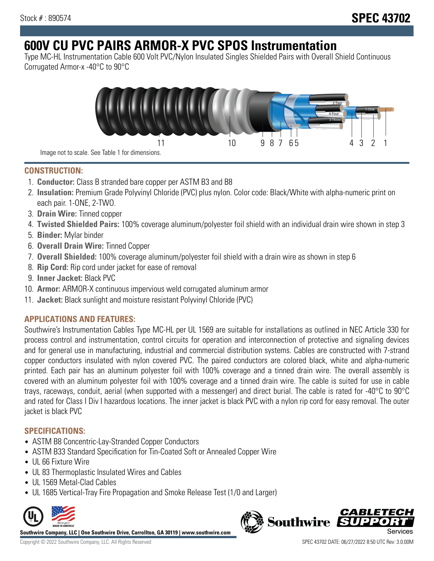# **600V CU PVC PAIRS ARMOR-X PVC SPOS Instrumentation**

Type MC-HL Instrumentation Cable 600 Volt PVC/Nylon Insulated Singles Shielded Pairs with Overall Shield Continuous Corrugated Armor-x -40°C to 90°C



**CONSTRUCTION:**

- 1. **Conductor:** Class B stranded bare copper per ASTM B3 and B8
- 2. **Insulation:** Premium Grade Polyvinyl Chloride (PVC) plus nylon. Color code: Black/White with alpha-numeric print on each pair. 1-ONE, 2-TWO.
- 3. **Drain Wire:** Tinned copper
- 4. **Twisted Shielded Pairs:** 100% coverage aluminum/polyester foil shield with an individual drain wire shown in step 3
- 5. **Binder:** Mylar binder
- 6. **Overall Drain Wire:** Tinned Copper
- 7. **Overall Shielded:** 100% coverage aluminum/polyester foil shield with a drain wire as shown in step 6
- 8. **Rip Cord:** Rip cord under jacket for ease of removal
- 9. **Inner Jacket:** Black PVC
- 10. **Armor:** ARMOR-X continuous impervious weld corrugated aluminum armor
- 11. **Jacket:** Black sunlight and moisture resistant Polyvinyl Chloride (PVC)

## **APPLICATIONS AND FEATURES:**

Southwire's Instrumentation Cables Type MC-HL per UL 1569 are suitable for installations as outlined in NEC Article 330 for process control and instrumentation, control circuits for operation and interconnection of protective and signaling devices and for general use in manufacturing, industrial and commercial distribution systems. Cables are constructed with 7-strand copper conductors insulated with nylon covered PVC. The paired conductors are colored black, white and alpha-numeric printed. Each pair has an aluminum polyester foil with 100% coverage and a tinned drain wire. The overall assembly is covered with an aluminum polyester foil with 100% coverage and a tinned drain wire. The cable is suited for use in cable trays, raceways, conduit, aerial (when supported with a messenger) and direct burial. The cable is rated for -40°C to 90°C and rated for Class I Div I hazardous locations. The inner jacket is black PVC with a nylon rip cord for easy removal. The outer jacket is black PVC

### **SPECIFICATIONS:**

- ASTM B8 Concentric-Lay-Stranded Copper Conductors
- ASTM B33 Standard Specification for Tin-Coated Soft or Annealed Copper Wire
- UL 66 Fixture Wire
- UL 83 Thermoplastic Insulated Wires and Cables
- UL 1569 Metal-Clad Cables
- UL 1685 Vertical-Tray Fire Propagation and Smoke Release Test (1/0 and Larger)



**Southwire Company, LLC | One Southwire Drive, Carrollton, GA 30119 | www.southwire.com**